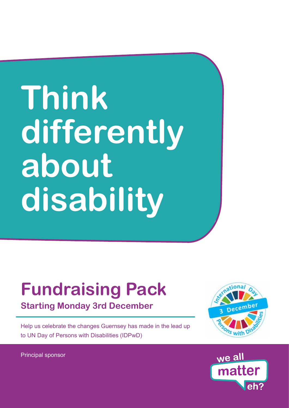# **Think differently about disability**

# **Fundraising Pack**

**Starting Monday 3rd December**

Help us celebrate the changes Guernsey has made in the lead up to UN Day of Persons with Disabilities (IDPwD)



Principal sponsor

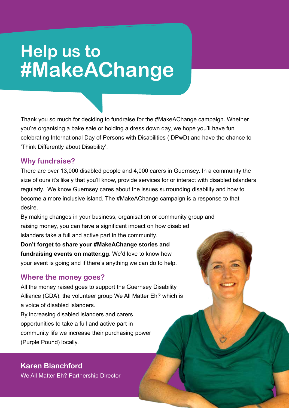# **Help us to #MakeAChange**

Thank you so much for deciding to fundraise for the #MakeAChange campaign. Whether you're organising a bake sale or holding a dress down day, we hope you'll have fun celebrating International Day of Persons with Disabilities (IDPwD) and have the chance to 'Think Differently about Disability'.

### **Why fundraise?**

There are over 13,000 disabled people and 4,000 carers in Guernsey. In a community the size of ours it's likely that you'll know, provide services for or interact with disabled islanders regularly. We know Guernsey cares about the issues surrounding disability and how to become a more inclusive island. The #MakeAChange campaign is a response to that desire.

By making changes in your business, organisation or community group and raising money, you can have a significant impact on how disabled islanders take a full and active part in the community.

**Don't forget to share your #MakeAChange stories and fundraising events on matter.gg**. We'd love to know how your event is going and if there's anything we can do to help.

### **Where the money goes?**

All the money raised goes to support the Guernsey Disability Alliance (GDA), the volunteer group We All Matter Eh? which is a voice of disabled islanders. By increasing disabled islanders and carers opportunities to take a full and active part in community life we increase their purchasing power (Purple Pound) locally.

### **Karen Blanchford**

We All Matter Eh? Partnership Director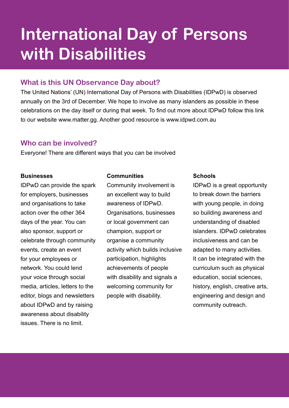### **International Day of Persons with Disabilities**

#### **What is this UN Observance Day about?**

The United Nations' (UN) International Day of Persons with Disabilities (IDPwD) is observed annually on the 3rd of December. We hope to involve as many islanders as possible in these celebrations on the day itself or during that week. To find out more about IDPwD follow this link to our website www.matter.gg. Another good resource is www.idpwd.com.au

### **Who can be involved?**

Everyone! There are different ways that you can be involved

#### **Businesses**

IDPwD can provide the spark for employers, businesses and organisations to take action over the other 364 days of the year. You can also sponsor, support or celebrate through community events, create an event for your employees or network. You could lend your voice through social media, articles, letters to the editor, blogs and newsletters about IDPwD and by raising awareness about disability issues. There is no limit.

#### **Communities**

Community involvement is an excellent way to build awareness of IDPwD. Organisations, businesses or local government can champion, support or organise a community activity which builds inclusive participation, highlights achievements of people with disability and signals a welcoming community for people with disability.

#### **Schools**

IDPwD is a great opportunity to break down the barriers with young people, in doing so building awareness and understanding of disabled islanders. IDPwD celebrates inclusiveness and can be adapted to many activities. It can be integrated with the curriculum such as physical education, social sciences, history, english, creative arts, engineering and design and community outreach.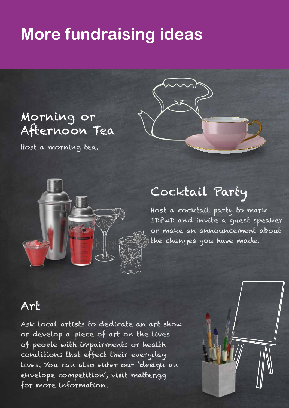### **More fundraising ideas**

### Morning or Afternoon Tea

Host a morning tea.



### Cocktail Party

Host a cocktail party to mark IDPwD and invite a guest speaker or make an announcement about the changes you have made.

### Art

Ask local artists to dedicate an art show or develop a piece of art on the lives of people with impairments or health conditions that effect their everyday lives. You can also enter our 'design an envelope competition', visit matter.gg for more information.

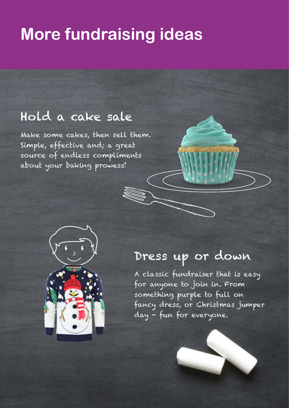### **More fundraising ideas**

### Hold a cake sale

Make some cakes, then sell them. Simple, effective and; a great source of endless compliments about your baking prowess!



### Dress up or down

A classic fundraiser that is easy for anyone to join in. From something purple to full on fancy dress, or Christmas jumper day - fun for everyone.

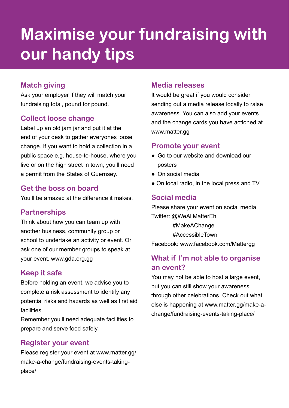# **Maximise your fundraising with our handy tips**

### **Match giving**

Ask your employer if they will match your fundraising total, pound for pound.

### **Collect loose change**

Label up an old jam jar and put it at the end of your desk to gather everyones loose change. If you want to hold a collection in a public space e.g. house-to-house, where you live or on the high street in town, you'll need a permit from the States of Guernsey.

### **Get the boss on board**

You'll be amazed at the difference it makes.

### **Partnerships**

Think about how you can team up with another business, community group or school to undertake an activity or event. Or ask one of our member groups to speak at your event. www.gda.org.gg

### **Keep it safe**

Before holding an event, we advise you to complete a risk assessment to identify any potential risks and hazards as well as first aid facilities.

Remember you'll need adequate facilities to prepare and serve food safely.

### **Register your event**

Please register your event at www.matter.gg/ make-a-change/fundraising-events-takingplace/

### **Media releases**

It would be great if you would consider sending out a media release locally to raise awareness. You can also add your events and the change cards you have actioned at www.matter.gg

### **Promote your event**

- Go to our website and download our posters
- On social media
- On local radio, in the local press and TV

### **Social media**

Please share your event on social media Twitter: @WeAllMatterEh #MakeAChange #AccessibleTown Facebook: www.facebook.com/Mattergg

### **What if I'm not able to organise an event?**

You may not be able to host a large event, but you can still show your awareness through other celebrations. Check out what else is happening at www.matter.gg/make-achange/fundraising-events-taking-place/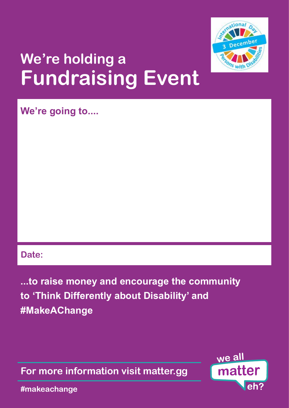

# **We're holding a Fundraising Event**

**We're going to....**

### **Date:**

**...to raise money and encourage the community to 'Think Differently about Disability' and #MakeAChange**

**For more information visit matter.gg**



**#makeachange**